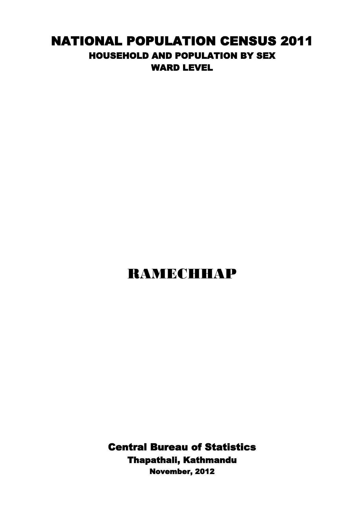## NATIONAL POPULATION CENSUS 2011 HOUSEHOLD AND POPULATION BY SEX WARD LEVEL

## RAMECHHAP

Central Bureau of Statistics Thapathali, Kathmandu November, 2012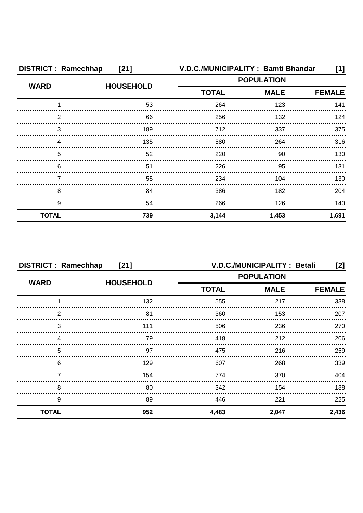| <b>DISTRICT: Ramechhap</b><br>$[21]$ |                  | V.D.C./MUNICIPALITY: Bamti Bhandar |                   |               |
|--------------------------------------|------------------|------------------------------------|-------------------|---------------|
|                                      | <b>HOUSEHOLD</b> |                                    | <b>POPULATION</b> |               |
| <b>WARD</b>                          |                  | <b>TOTAL</b>                       | <b>MALE</b>       | <b>FEMALE</b> |
|                                      | 53               | 264                                | 123               | 141           |
| 2                                    | 66               | 256                                | 132               | 124           |
| 3                                    | 189              | 712                                | 337               | 375           |
| Δ                                    | 135              | 580                                | 264               | 316           |
| 5                                    | 52               | 220                                | 90                | 130           |
| 6                                    | 51               | 226                                | 95                | 131           |
|                                      | 55               | 234                                | 104               | 130           |
| 8                                    | 84               | 386                                | 182               | 204           |
| 9                                    | 54               | 266                                | 126               | 140           |
| <b>TOTAL</b>                         | 739              | 3,144                              | 1,453             | 1,691         |

| <b>DISTRICT: Ramechhap</b><br>$[21]$ |                  | V.D.C./MUNICIPALITY : Betali<br>[2]              |       |               |
|--------------------------------------|------------------|--------------------------------------------------|-------|---------------|
| <b>WARD</b>                          |                  | <b>POPULATION</b><br><b>TOTAL</b><br><b>MALE</b> |       |               |
|                                      | <b>HOUSEHOLD</b> |                                                  |       | <b>FEMALE</b> |
|                                      | 132              | 555                                              | 217   | 338           |
| っ                                    | 81               | 360                                              | 153   | 207           |
| 3                                    | 111              | 506                                              | 236   | 270           |
|                                      | 79               | 418                                              | 212   | 206           |
| 5                                    | 97               | 475                                              | 216   | 259           |
| 6                                    | 129              | 607                                              | 268   | 339           |
|                                      | 154              | 774                                              | 370   | 404           |
| 8                                    | 80               | 342                                              | 154   | 188           |
| 9                                    | 89               | 446                                              | 221   | 225           |
| <b>TOTAL</b>                         | 952              | 4,483                                            | 2,047 | 2,436         |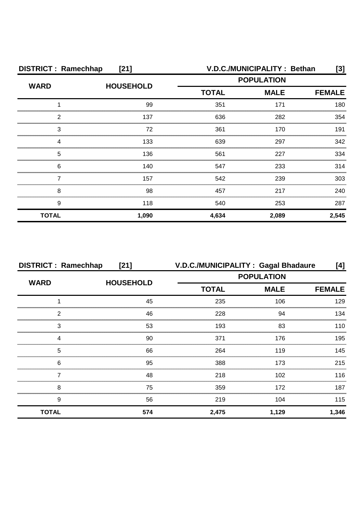| <b>DISTRICT: Ramechhap</b><br>$[21]$ |                  |                   | V.D.C./MUNICIPALITY: Bethan | [3]           |
|--------------------------------------|------------------|-------------------|-----------------------------|---------------|
| <b>WARD</b>                          | <b>HOUSEHOLD</b> | <b>POPULATION</b> |                             |               |
|                                      |                  | <b>TOTAL</b>      | <b>MALE</b>                 | <b>FEMALE</b> |
|                                      | 99               | 351               | 171                         | 180           |
| 2                                    | 137              | 636               | 282                         | 354           |
| 3                                    | 72               | 361               | 170                         | 191           |
| Δ                                    | 133              | 639               | 297                         | 342           |
| 5                                    | 136              | 561               | 227                         | 334           |
| 6                                    | 140              | 547               | 233                         | 314           |
|                                      | 157              | 542               | 239                         | 303           |
| 8                                    | 98               | 457               | 217                         | 240           |
| 9                                    | 118              | 540               | 253                         | 287           |
| <b>TOTAL</b>                         | 1,090            | 4,634             | 2,089                       | 2,545         |

| <b>DISTRICT: Ramechhap</b><br>$[21]$ |                  | V.D.C./MUNICIPALITY: Gagal Bhadaure<br>[4] |                   |               |
|--------------------------------------|------------------|--------------------------------------------|-------------------|---------------|
| <b>WARD</b>                          |                  |                                            | <b>POPULATION</b> |               |
|                                      | <b>HOUSEHOLD</b> | <b>TOTAL</b>                               | <b>MALE</b>       | <b>FEMALE</b> |
|                                      | 45               | 235                                        | 106               | 129           |
| 2                                    | 46               | 228                                        | 94                | 134           |
| 3                                    | 53               | 193                                        | 83                | 110           |
|                                      | 90               | 371                                        | 176               | 195           |
| 5                                    | 66               | 264                                        | 119               | 145           |
| 6                                    | 95               | 388                                        | 173               | 215           |
|                                      | 48               | 218                                        | 102               | 116           |
| 8                                    | 75               | 359                                        | 172               | 187           |
| 9                                    | 56               | 219                                        | 104               | 115           |
| <b>TOTAL</b>                         | 574              | 2,475                                      | 1,129             | 1,346         |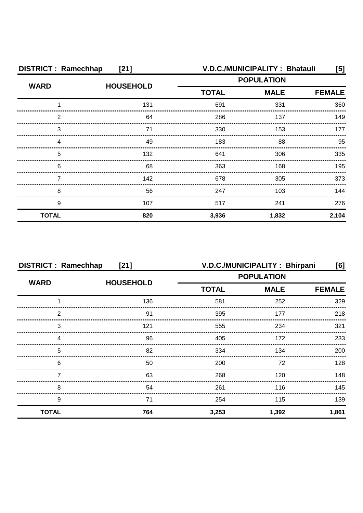| <b>DISTRICT: Ramechhap</b><br>[21] |                  | V.D.C./MUNICIPALITY: Bhatauli<br>[5] |                   |               |
|------------------------------------|------------------|--------------------------------------|-------------------|---------------|
| <b>WARD</b>                        | <b>HOUSEHOLD</b> |                                      | <b>POPULATION</b> |               |
|                                    |                  | <b>TOTAL</b><br><b>MALE</b>          |                   | <b>FEMALE</b> |
|                                    | 131              | 691                                  | 331               | 360           |
| 2                                  | 64               | 286                                  | 137               | 149           |
| 3                                  |                  | 330                                  | 153               | 177           |
|                                    | 49               | 183                                  | 88                | 95            |
| 5                                  | 132              | 641                                  | 306               | 335           |
| 6                                  | 68               | 363                                  | 168               | 195           |
|                                    | 142              | 678                                  | 305               | 373           |
| 8                                  | 56               | 247                                  | 103               | 144           |
| 9                                  | 107              | 517                                  | 241               | 276           |
| <b>TOTAL</b>                       | 820              | 3,936                                | 1,832             | 2,104         |

| <b>DISTRICT: Ramechhap</b><br>[21] |                  | V.D.C./MUNICIPALITY: Bhirpani<br>[6] |             |               |
|------------------------------------|------------------|--------------------------------------|-------------|---------------|
| <b>WARD</b>                        |                  | <b>POPULATION</b>                    |             |               |
|                                    | <b>HOUSEHOLD</b> | <b>TOTAL</b>                         | <b>MALE</b> | <b>FEMALE</b> |
|                                    | 136              | 581                                  | 252         | 329           |
| 2                                  | 91               | 395                                  | 177         | 218           |
| 3                                  | 121              | 555                                  | 234         | 321           |
|                                    | 96               | 405                                  | 172         | 233           |
| 5                                  | 82               | 334                                  | 134         | 200           |
| 6                                  | 50               | 200                                  | 72          | 128           |
|                                    | 63               | 268                                  | 120         | 148           |
| 8                                  | 54               | 261                                  | 116         | 145           |
| 9                                  | 71               | 254                                  | 115         | 139           |
| <b>TOTAL</b>                       | 764              | 3,253                                | 1,392       | 1,861         |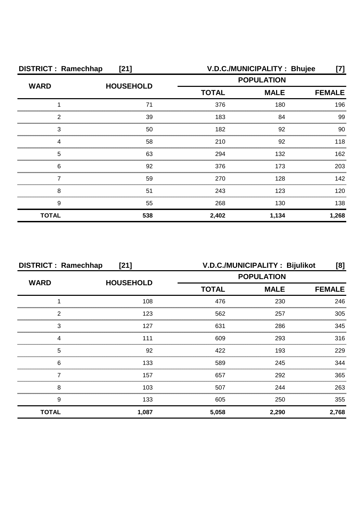| <b>DISTRICT: Ramechhap</b><br>$[21]$ |                  |                             | V.D.C./MUNICIPALITY: Bhujee | [7]   |
|--------------------------------------|------------------|-----------------------------|-----------------------------|-------|
| <b>WARD</b>                          | <b>HOUSEHOLD</b> |                             | <b>POPULATION</b>           |       |
|                                      |                  | <b>TOTAL</b><br><b>MALE</b> | <b>FEMALE</b>               |       |
|                                      | 71               | 376                         | 180                         | 196   |
| 2                                    | 39               | 183                         | 84                          | 99    |
| 3                                    | 50               | 182                         | 92                          | 90    |
|                                      | 58               | 210                         | 92                          | 118   |
| 5                                    | 63               | 294                         | 132                         | 162   |
| 6                                    | 92               | 376                         | 173                         | 203   |
|                                      | 59               | 270                         | 128                         | 142   |
| 8                                    | 51               | 243                         | 123                         | 120   |
| 9                                    | 55               | 268                         | 130                         | 138   |
| <b>TOTAL</b>                         | 538              | 2,402                       | 1,134                       | 1,268 |

| <b>DISTRICT: Ramechhap</b><br>$[21]$ |                  | V.D.C./MUNICIPALITY: Bijulikot<br>[8]            |               |       |
|--------------------------------------|------------------|--------------------------------------------------|---------------|-------|
|                                      |                  | <b>POPULATION</b><br><b>TOTAL</b><br><b>MALE</b> |               |       |
| <b>WARD</b>                          | <b>HOUSEHOLD</b> |                                                  | <b>FEMALE</b> |       |
|                                      | 108              | 476                                              | 230           | 246   |
| 2                                    | 123              | 562                                              | 257           | 305   |
| 3                                    | 127              | 631                                              | 286           | 345   |
|                                      | 111              | 609                                              | 293           | 316   |
| 5                                    | 92               | 422                                              | 193           | 229   |
| 6                                    | 133              | 589                                              | 245           | 344   |
|                                      | 157              | 657                                              | 292           | 365   |
| 8                                    | 103              | 507                                              | 244           | 263   |
| 9                                    | 133              | 605                                              | 250           | 355   |
| <b>TOTAL</b>                         | 1,087            | 5,058                                            | 2,290         | 2,768 |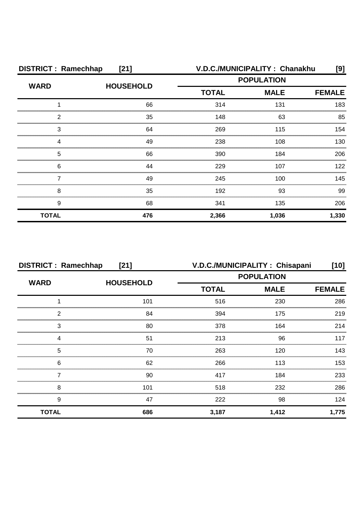| <b>DISTRICT: Ramechhap</b><br>$[21]$ |                  |              | V.D.C./MUNICIPALITY: Chanakhu | [9]           |
|--------------------------------------|------------------|--------------|-------------------------------|---------------|
| <b>WARD</b>                          | <b>HOUSEHOLD</b> |              | <b>POPULATION</b>             |               |
|                                      |                  | <b>TOTAL</b> | <b>MALE</b>                   | <b>FEMALE</b> |
|                                      | 66               | 314          | 131                           | 183           |
| 2                                    | 35               | 148          | 63                            | 85            |
| 3                                    | 64               | 269          | 115                           | 154           |
|                                      | 49               | 238          | 108                           | 130           |
| 5                                    | 66               | 390          | 184                           | 206           |
| 6                                    | 44               | 229          | 107                           | 122           |
|                                      | 49               | 245          | 100                           | 145           |
| 8                                    | 35               | 192          | 93                            | 99            |
| 9                                    | 68               | 341          | 135                           | 206           |
| <b>TOTAL</b>                         | 476              | 2,366        | 1,036                         | 1,330         |

| <b>DISTRICT: Ramechhap</b><br>[21] |                  |                   | V.D.C./MUNICIPALITY: Chisapani | [10]          |
|------------------------------------|------------------|-------------------|--------------------------------|---------------|
| <b>WARD</b>                        | <b>HOUSEHOLD</b> | <b>POPULATION</b> |                                |               |
|                                    |                  | <b>TOTAL</b>      | <b>MALE</b>                    | <b>FEMALE</b> |
|                                    | 101              | 516               | 230                            | 286           |
| っ                                  | 84               | 394               | 175                            | 219           |
| 3                                  | 80               | 378               | 164                            | 214           |
|                                    | 51               | 213               | 96                             | 117           |
| 5                                  | 70               | 263               | 120                            | 143           |
| 6                                  | 62               | 266               | 113                            | 153           |
|                                    | 90               | 417               | 184                            | 233           |
| 8                                  | 101              | 518               | 232                            | 286           |
| 9                                  | 47               | 222               | 98                             | 124           |
| <b>TOTAL</b>                       | 686              | 3,187             | 1,412                          | 1,775         |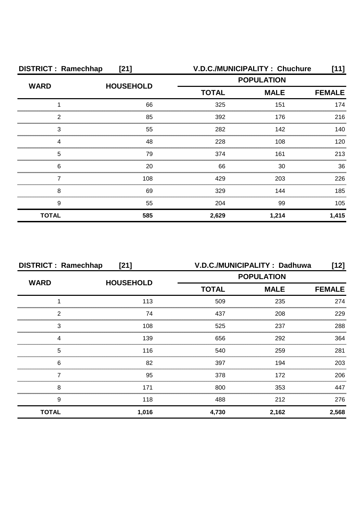| <b>DISTRICT: Ramechhap</b><br>[21] |                  |                   | V.D.C./MUNICIPALITY: Chuchure | [11]          |
|------------------------------------|------------------|-------------------|-------------------------------|---------------|
| <b>WARD</b>                        | <b>HOUSEHOLD</b> | <b>POPULATION</b> |                               |               |
|                                    |                  | <b>TOTAL</b>      | <b>MALE</b>                   | <b>FEMALE</b> |
|                                    | 66               | 325               | 151                           | 174           |
| 2                                  | 85               | 392               | 176                           | 216           |
| 3                                  | 55               | 282               | 142                           | 140           |
|                                    | 48               | 228               | 108                           | 120           |
| 5                                  | 79               | 374               | 161                           | 213           |
| 6                                  | 20               | 66                | 30                            | 36            |
|                                    | 108              | 429               | 203                           | 226           |
| 8                                  | 69               | 329               | 144                           | 185           |
| 9                                  | 55               | 204               | 99                            | 105           |
| <b>TOTAL</b>                       | 585              | 2,629             | 1,214                         | 1,415         |

| <b>DISTRICT: Ramechhap</b><br>$[21]$ |                  |              | V.D.C./MUNICIPALITY: Dadhuwa | [12]          |
|--------------------------------------|------------------|--------------|------------------------------|---------------|
| <b>WARD</b>                          |                  |              | <b>POPULATION</b>            |               |
|                                      | <b>HOUSEHOLD</b> | <b>TOTAL</b> | <b>MALE</b>                  | <b>FEMALE</b> |
|                                      | 113              | 509          | 235                          | 274           |
| 2                                    | 74               | 437          | 208                          | 229           |
| 3                                    | 108              | 525          | 237                          | 288           |
| Δ                                    | 139              | 656          | 292                          | 364           |
| 5                                    | 116              | 540          | 259                          | 281           |
| 6                                    | 82               | 397          | 194                          | 203           |
|                                      | 95               | 378          | 172                          | 206           |
| 8                                    | 171              | 800          | 353                          | 447           |
| 9                                    | 118              | 488          | 212                          | 276           |
| <b>TOTAL</b>                         | 1,016            | 4,730        | 2,162                        | 2,568         |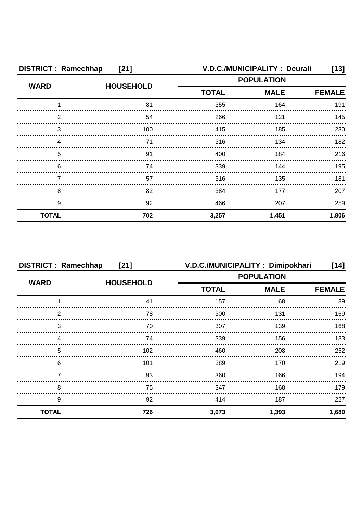| <b>DISTRICT: Ramechhap</b><br>$[21]$ |                  | V.D.C./MUNICIPALITY : Deurali<br>[13] |             |               |
|--------------------------------------|------------------|---------------------------------------|-------------|---------------|
| <b>WARD</b>                          | <b>HOUSEHOLD</b> | <b>POPULATION</b>                     |             |               |
|                                      |                  | <b>TOTAL</b>                          | <b>MALE</b> | <b>FEMALE</b> |
|                                      | 81               | 355                                   | 164         | 191           |
| 2                                    | 54               | 266                                   | 121         | 145           |
| 3                                    | 100              | 415                                   | 185         | 230           |
|                                      | 71               | 316                                   | 134         | 182           |
| 5                                    | 91               | 400                                   | 184         | 216           |
| 6                                    | 74               | 339                                   | 144         | 195           |
|                                      | 57               | 316                                   | 135         | 181           |
| 8                                    | 82               | 384                                   | 177         | 207           |
| 9                                    | 92               | 466                                   | 207         | 259           |
| <b>TOTAL</b>                         | 702              | 3,257                                 | 1,451       | 1,806         |

|                                 | <b>DISTRICT: Ramechhap</b><br>[21] |                   | V.D.C./MUNICIPALITY: Dimipokhari | [14]          |
|---------------------------------|------------------------------------|-------------------|----------------------------------|---------------|
| <b>WARD</b><br><b>HOUSEHOLD</b> |                                    | <b>POPULATION</b> |                                  |               |
|                                 |                                    | <b>TOTAL</b>      | <b>MALE</b>                      | <b>FEMALE</b> |
|                                 | 41                                 | 157               | 68                               | 89            |
| っ                               | 78                                 | 300               | 131                              | 169           |
| 3                               | 70                                 | 307               | 139                              | 168           |
|                                 | 74                                 | 339               | 156                              | 183           |
| 5                               | 102                                | 460               | 208                              | 252           |
| 6                               | 101                                | 389               | 170                              | 219           |
|                                 | 93                                 | 360               | 166                              | 194           |
| 8                               | 75                                 | 347               | 168                              | 179           |
| 9                               | 92                                 | 414               | 187                              | 227           |
| <b>TOTAL</b>                    | 726                                | 3,073             | 1,393                            | 1,680         |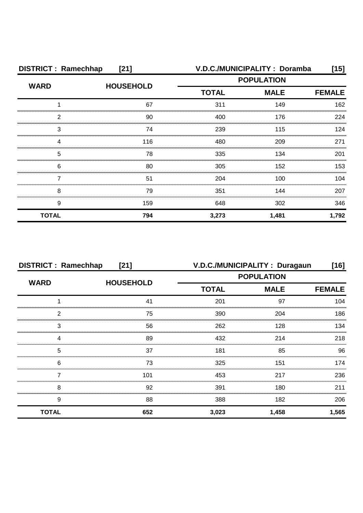| <b>DISTRICT: Ramechhap</b><br>$[21]$ |                  |              | V.D.C./MUNICIPALITY : Doramba | [15]          |
|--------------------------------------|------------------|--------------|-------------------------------|---------------|
| <b>WARD</b>                          | <b>HOUSEHOLD</b> |              | <b>POPULATION</b>             |               |
|                                      |                  | <b>TOTAL</b> | <b>MALE</b>                   | <b>FEMALE</b> |
|                                      | 67               | 311          | 149                           | 162           |
| 2                                    | 90               | 400          | 176                           | 224           |
| 3                                    | 74               | 239          | 115                           | 124           |
| Δ                                    | 116              | 480          | 209                           | 271           |
| 5                                    | 78               | 335          | 134                           | 201           |
| 6                                    | 80               | 305          | 152                           | 153           |
|                                      | 51               | 204          | 100                           | 104           |
| 8                                    | 79               | 351          | 144                           | 207           |
| 9                                    | 159              | 648          | 302                           | 346           |
| <b>TOTAL</b>                         | 794              | 3,273        | 1,481                         | 1,792         |

| <b>DISTRICT: Ramechhap</b><br>$[21]$ |                  |                   | V.D.C./MUNICIPALITY : Duragaun | $[16]$        |
|--------------------------------------|------------------|-------------------|--------------------------------|---------------|
| <b>WARD</b>                          |                  | <b>POPULATION</b> |                                |               |
|                                      | <b>HOUSEHOLD</b> | <b>TOTAL</b>      | <b>MALE</b>                    | <b>FEMALE</b> |
|                                      | 41               | 201               | 97                             | 104           |
| っ                                    | 75               | 390               | 204                            | 186           |
| 3                                    | 56               | 262               | 128                            | 134           |
|                                      | 89               | 432               | 214                            | 218           |
| 5                                    | 37               | 181               | 85                             | 96            |
| 6                                    | 73               | 325               | 151                            | 174           |
|                                      | 101              | 453               | 217                            | 236           |
| 8                                    | 92               | 391               | 180                            | 211           |
| 9                                    | 88               | 388               | 182                            | 206           |
| <b>TOTAL</b>                         | 652              | 3,023             | 1,458                          | 1,565         |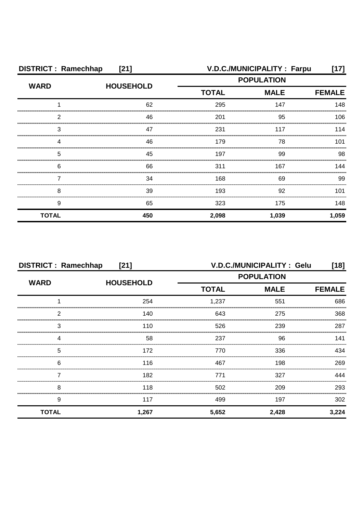| <b>DISTRICT: Ramechhap</b><br>$[21]$ |                  |                   | V.D.C./MUNICIPALITY : Farpu | [17]          |
|--------------------------------------|------------------|-------------------|-----------------------------|---------------|
| <b>WARD</b>                          | <b>HOUSEHOLD</b> | <b>POPULATION</b> |                             |               |
|                                      |                  | <b>TOTAL</b>      | <b>MALE</b>                 | <b>FEMALE</b> |
|                                      | 62               | 295               | 147                         | 148           |
| 2                                    | 46               | 201               | 95                          | 106           |
| 3                                    | 47               | 231               | 117                         | 114           |
| Δ                                    | 46               | 179               | 78                          | 101           |
| 5                                    | 45               | 197               | 99                          | 98            |
| 6                                    | 66               | 311               | 167                         | 144           |
|                                      | 34               | 168               | 69                          | 99            |
| 8                                    | 39               | 193               | 92                          | 101           |
| 9                                    | 65               | 323               | 175                         | 148           |
| <b>TOTAL</b>                         | 450              | 2,098             | 1,039                       | 1,059         |

| <b>DISTRICT: Ramechhap</b><br>$[21]$ |                  |              | V.D.C./MUNICIPALITY: Gelu | $[18]$        |
|--------------------------------------|------------------|--------------|---------------------------|---------------|
| <b>WARD</b>                          |                  |              | <b>POPULATION</b>         |               |
|                                      | <b>HOUSEHOLD</b> | <b>TOTAL</b> | <b>MALE</b>               | <b>FEMALE</b> |
|                                      | 254              | 1,237        | 551                       | 686           |
| 2                                    | 140              | 643          | 275                       | 368           |
| 3                                    | 110              | 526          | 239                       | 287           |
| Δ                                    | 58               | 237          | 96                        | 141           |
| 5                                    | 172              | 770          | 336                       | 434           |
| 6                                    | 116              | 467          | 198                       | 269           |
|                                      | 182              | 771          | 327                       | 444           |
| 8                                    | 118              | 502          | 209                       | 293           |
| 9                                    | 117              | 499          | 197                       | 302           |
| <b>TOTAL</b>                         | 1,267            | 5,652        | 2,428                     | 3,224         |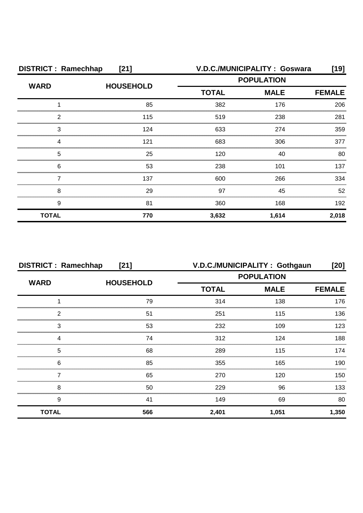| <b>DISTRICT: Ramechhap</b><br>$[21]$ |                  |              | V.D.C./MUNICIPALITY: Goswara | [19]          |
|--------------------------------------|------------------|--------------|------------------------------|---------------|
| <b>WARD</b>                          | <b>HOUSEHOLD</b> |              | <b>POPULATION</b>            |               |
|                                      |                  | <b>TOTAL</b> | <b>MALE</b>                  | <b>FEMALE</b> |
|                                      | 85               | 382          | 176                          | 206           |
| 2                                    | 115              | 519          | 238                          | 281           |
| 3                                    | 124              | 633          | 274                          | 359           |
|                                      | 121              | 683          | 306                          | 377           |
| 5                                    | 25               | 120          | 40                           | 80            |
| 6                                    | 53               | 238          | 101                          | 137           |
|                                      | 137              | 600          | 266                          | 334           |
| 8                                    | 29               | 97           | 45                           | 52            |
| 9                                    | 81               | 360          | 168                          | 192           |
| <b>TOTAL</b>                         | 770              | 3,632        | 1,614                        | 2,018         |

| <b>DISTRICT: Ramechhap</b><br>$[21]$ |                  |                   | V.D.C./MUNICIPALITY: Gothgaun | [20]          |
|--------------------------------------|------------------|-------------------|-------------------------------|---------------|
| <b>WARD</b>                          | <b>HOUSEHOLD</b> | <b>POPULATION</b> |                               |               |
|                                      |                  | <b>TOTAL</b>      | <b>MALE</b>                   | <b>FEMALE</b> |
|                                      | 79               | 314               | 138                           | 176           |
| っ                                    | 51               | 251               | 115                           | 136           |
| 3                                    | 53               | 232               | 109                           | 123           |
|                                      | 74               | 312               | 124                           | 188           |
| 5                                    | 68               | 289               | 115                           | 174           |
| 6                                    | 85               | 355               | 165                           | 190           |
|                                      | 65               | 270               | 120                           | 150           |
| 8                                    | 50               | 229               | 96                            | 133           |
| 9                                    | 41               | 149               | 69                            | 80            |
| <b>TOTAL</b>                         | 566              | 2,401             | 1,051                         | 1,350         |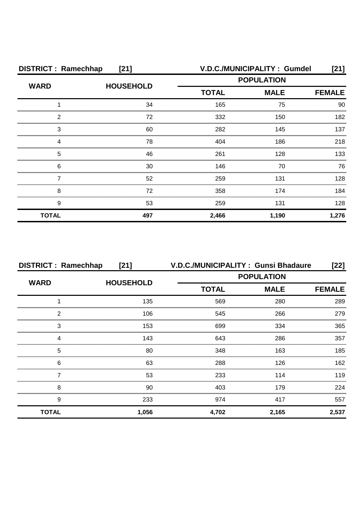| <b>DISTRICT: Ramechhap</b><br>$[21]$ |                  | V.D.C./MUNICIPALITY: Gumdel<br>[21] |             |               |
|--------------------------------------|------------------|-------------------------------------|-------------|---------------|
| <b>WARD</b>                          | <b>HOUSEHOLD</b> | <b>POPULATION</b>                   |             |               |
|                                      |                  | <b>TOTAL</b>                        | <b>MALE</b> | <b>FEMALE</b> |
|                                      | 34               | 165                                 | 75          | 90            |
| 2                                    | 72               | 332                                 | 150         | 182           |
| 3                                    | 60               | 282                                 | 145         | 137           |
| Δ                                    | 78               | 404                                 | 186         | 218           |
| 5                                    | 46               | 261                                 | 128         | 133           |
| 6                                    | 30               | 146                                 | 70          | 76            |
|                                      | 52               | 259                                 | 131         | 128           |
| 8                                    | 72               | 358                                 | 174         | 184           |
| 9                                    | 53               | 259                                 | 131         | 128           |
| <b>TOTAL</b>                         | 497              | 2,466                               | 1,190       | 1,276         |

|                                 | <b>DISTRICT: Ramechhap</b><br>$[21]$ |              | V.D.C./MUNICIPALITY: Gunsi Bhadaure | $[22]$        |
|---------------------------------|--------------------------------------|--------------|-------------------------------------|---------------|
| <b>WARD</b><br><b>HOUSEHOLD</b> |                                      |              | <b>POPULATION</b>                   |               |
|                                 |                                      | <b>TOTAL</b> | <b>MALE</b>                         | <b>FEMALE</b> |
|                                 | 135                                  | 569          | 280                                 | 289           |
| 2                               | 106                                  | 545          | 266                                 | 279           |
| 3                               | 153                                  | 699          | 334                                 | 365           |
| Δ                               | 143                                  | 643          | 286                                 | 357           |
| 5                               | 80                                   | 348          | 163                                 | 185           |
| 6                               | 63                                   | 288          | 126                                 | 162           |
|                                 | 53                                   | 233          | 114                                 | 119           |
| 8                               | 90                                   | 403          | 179                                 | 224           |
| 9                               | 233                                  | 974          | 417                                 | 557           |
| <b>TOTAL</b>                    | 1,056                                | 4,702        | 2,165                               | 2,537         |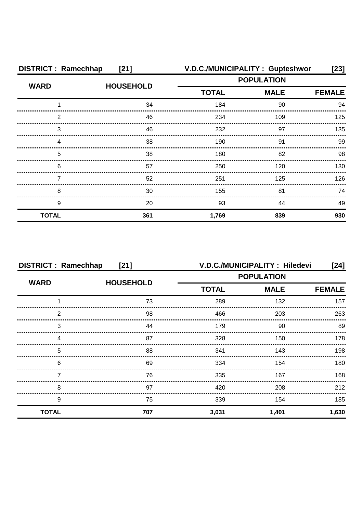| <b>DISTRICT: Ramechhap</b><br>$[21]$ |                  | V.D.C./MUNICIPALITY: Gupteshwor |             | [23]          |
|--------------------------------------|------------------|---------------------------------|-------------|---------------|
| <b>WARD</b>                          | <b>HOUSEHOLD</b> | <b>POPULATION</b>               |             |               |
|                                      |                  | <b>TOTAL</b>                    | <b>MALE</b> | <b>FEMALE</b> |
|                                      | 34               | 184                             | 90          | 94            |
| 2                                    | 46               | 234                             | 109         | 125           |
| 3                                    | 46               | 232                             | 97          | 135           |
|                                      | 38               | 190                             | .91         | 99            |
| 5                                    | 38               | 180                             | 82          | 98            |
| 6                                    | 57               | 250                             | 120         | 130.          |
|                                      | 52               | 251                             | 125         | 126           |
| 8                                    | 30               | 155                             | 81          | 74            |
| 9                                    | 20               | 93                              | 44          | 49            |
| <b>TOTAL</b>                         | 361              | 1,769                           | 839         | 930           |

| <b>DISTRICT: Ramechhap</b><br>$[21]$ |                  | V.D.C./MUNICIPALITY: Hiledevi<br>[24] |                   |               |
|--------------------------------------|------------------|---------------------------------------|-------------------|---------------|
| <b>WARD</b>                          | <b>HOUSEHOLD</b> |                                       | <b>POPULATION</b> |               |
|                                      |                  | <b>TOTAL</b>                          | <b>MALE</b>       | <b>FEMALE</b> |
|                                      | 73               | 289                                   | 132               | 157           |
| 2                                    | 98               | 466                                   | 203               | 263           |
| 3                                    | 44               | 179                                   | 90                | 89            |
|                                      | 87               | 328                                   | 150               | 178           |
| 5                                    | 88               | 341                                   | 143               | 198           |
| 6                                    | 69               | 334                                   | 154               | 180           |
|                                      | 76               | 335                                   | 167               | 168           |
| 8                                    | 97               | 420                                   | 208               | 212           |
| 9                                    | 75               | 339                                   | 154               | 185           |
| <b>TOTAL</b>                         | 707              | 3,031                                 | 1,401             | 1,630         |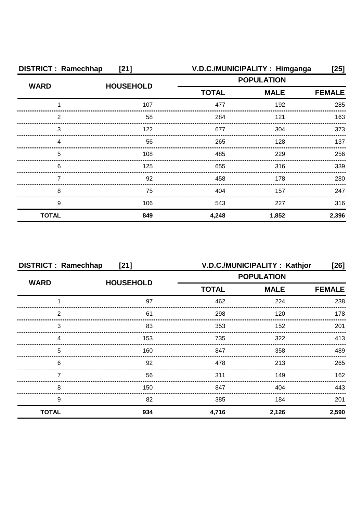| <b>DISTRICT: Ramechhap</b><br>$[21]$ |                  |                   | V.D.C./MUNICIPALITY: Himganga | $[25]$        |
|--------------------------------------|------------------|-------------------|-------------------------------|---------------|
| <b>WARD</b>                          | <b>HOUSEHOLD</b> | <b>POPULATION</b> |                               |               |
|                                      |                  | <b>TOTAL</b>      | <b>MALE</b>                   | <b>FEMALE</b> |
|                                      | 107              | 477               | 192                           | 285           |
| 2                                    | 58               | 284               | 121                           | 163           |
| З                                    | 122              | 677               | 304                           | 373           |
| Δ                                    | 56               | 265               | 128                           | 137           |
| 5                                    | 108              | 485               | 229                           | 256           |
| 6                                    | 125              | 655               | 316                           | 339           |
|                                      | 92               | 458               | 178                           | 280           |
| 8                                    | 75               | 404               | 157                           | 247           |
| 9                                    | 106              | 543               | 227                           | 316           |
| <b>TOTAL</b>                         | 849              | 4,248             | 1,852                         | 2,396         |

| <b>DISTRICT: Ramechhap</b><br>$[21]$ |                  |              | V.D.C./MUNICIPALITY: Kathjor | [26]          |
|--------------------------------------|------------------|--------------|------------------------------|---------------|
|                                      |                  |              | <b>POPULATION</b>            |               |
| <b>WARD</b>                          | <b>HOUSEHOLD</b> | <b>TOTAL</b> | <b>MALE</b>                  | <b>FEMALE</b> |
|                                      | 97               | 462          | 224                          | 238           |
| 2                                    | 61               | 298          | 120                          | 178           |
| 3                                    | 83               | 353          | 152                          | 201           |
|                                      | 153              | 735          | 322                          | 413           |
| 5                                    | 160              | 847          | 358                          | 489           |
| 6                                    | 92               | 478          | 213                          | 265           |
|                                      | 56               | 311          | 149                          | 162           |
| 8                                    | 150              | 847          | 404                          | 443           |
| 9                                    | 82               | 385          | 184                          | 201           |
| <b>TOTAL</b>                         | 934              | 4,716        | 2,126                        | 2,590         |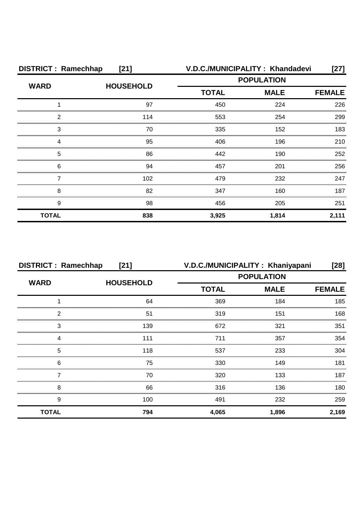| <b>DISTRICT: Ramechhap</b><br>[21] |                  | V.D.C./MUNICIPALITY: Khandadevi |             | [27]          |
|------------------------------------|------------------|---------------------------------|-------------|---------------|
| <b>WARD</b>                        |                  | <b>POPULATION</b>               |             |               |
|                                    | <b>HOUSEHOLD</b> | <b>TOTAL</b>                    | <b>MALE</b> | <b>FEMALE</b> |
|                                    | 97               | 450                             | 224         | 226           |
| 2                                  | 114              | 553                             | 254         | 299           |
| 3                                  | 70               | 335                             | 152         | 183           |
| Δ                                  | 95               | 406                             | 196         | 210           |
| 5                                  | 86               | 442                             | 190         | 252           |
| 6                                  | 94               | 457                             | 201         | 256           |
|                                    | 102              | 479                             | 232         | 247           |
| 8                                  | 82               | 347                             | 160         | 187           |
| 9                                  | 98               | 456                             | 205         | 251           |
| <b>TOTAL</b>                       | 838              | 3,925                           | 1,814       | 2,111         |

| <b>DISTRICT: Ramechhap</b><br>$[21]$ |     | V.D.C./MUNICIPALITY: Khaniyapani |                   | [28]          |
|--------------------------------------|-----|----------------------------------|-------------------|---------------|
| <b>WARD</b><br><b>HOUSEHOLD</b>      |     |                                  | <b>POPULATION</b> |               |
|                                      |     | <b>TOTAL</b>                     | <b>MALE</b>       | <b>FEMALE</b> |
|                                      | 64  | 369                              | 184               | 185           |
| っ                                    | 51  | 319                              | 151               | 168           |
| 3                                    | 139 | 672                              | 321               | 351           |
|                                      | 111 | 711                              | 357               | 354           |
| 5                                    | 118 | 537                              | 233               | 304           |
| 6                                    | 75  | 330                              | 149               | 181           |
|                                      | 70  | 320                              | 133               | 187           |
| 8                                    | 66  | 316                              | 136               | 180.          |
| 9                                    | 100 | 491                              | 232               | 259           |
| <b>TOTAL</b>                         | 794 | 4,065                            | 1,896             | 2,169         |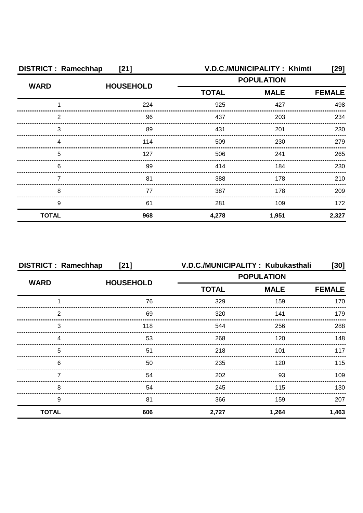| <b>DISTRICT: Ramechhap</b><br>$[21]$ |                  |                   | V.D.C./MUNICIPALITY: Khimti | $[29]$        |
|--------------------------------------|------------------|-------------------|-----------------------------|---------------|
| <b>WARD</b>                          | <b>HOUSEHOLD</b> | <b>POPULATION</b> |                             |               |
|                                      |                  | <b>TOTAL</b>      | <b>MALE</b>                 | <b>FEMALE</b> |
|                                      | 224              | 925               | 427                         | 498           |
| 2                                    | 96               | 437               | 203                         | 234           |
| 3                                    | 89               | 431               | 201                         | 230           |
| Δ                                    | 114              | 509               | 230                         | 279           |
| 5                                    | 127              | 506               | 241                         | 265           |
| 6                                    | 99               | 414               | 184                         | 230           |
|                                      | 81               | 388               | 178                         | 210           |
| 8                                    | 77               | 387               | 178                         | 209           |
| 9                                    | 61               | 281               | 109                         | 172           |
| <b>TOTAL</b>                         | 968              | 4,278             | 1,951                       | 2,327         |

| <b>DISTRICT: Ramechhap</b><br>$[21]$ |                  | V.D.C./MUNICIPALITY: Kubukasthali |                   | [30]          |
|--------------------------------------|------------------|-----------------------------------|-------------------|---------------|
| <b>WARD</b>                          |                  |                                   | <b>POPULATION</b> |               |
|                                      | <b>HOUSEHOLD</b> | <b>TOTAL</b>                      | <b>MALE</b>       | <b>FEMALE</b> |
|                                      | 76               | 329                               | 159               | 170           |
| 2                                    | 69               | 320                               | 141               | 179           |
| 3                                    | 118              | 544                               | 256               | 288           |
|                                      | 53               | 268                               | 120               | 148           |
| 5                                    | 51               | 218                               | 101               | 117           |
| 6                                    | 50               | 235                               | 120               | 115           |
|                                      | 54               | 202                               | 93                | 109           |
| 8                                    | 54               | 245                               | 115               | 130           |
| 9                                    | 81               | 366                               | 159               | 207           |
| <b>TOTAL</b>                         | 606              | 2,727                             | 1,264             | 1,463         |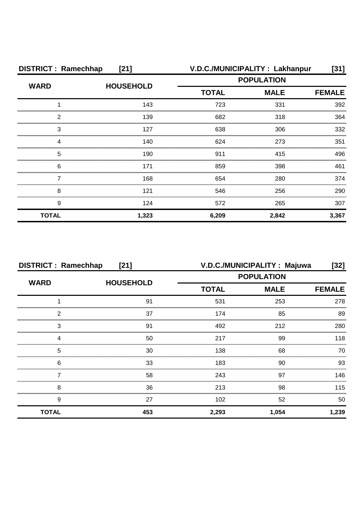| <b>DISTRICT: Ramechhap</b><br>$[21]$ |                  |                   | V.D.C./MUNICIPALITY: Lakhanpur | [31]          |  |
|--------------------------------------|------------------|-------------------|--------------------------------|---------------|--|
| <b>WARD</b>                          | <b>HOUSEHOLD</b> | <b>POPULATION</b> |                                |               |  |
|                                      |                  | <b>TOTAL</b>      | <b>MALE</b>                    | <b>FEMALE</b> |  |
|                                      | 143              | 723               | 331                            | 392           |  |
| 2                                    | 139              | 682               | 318                            | 364           |  |
| 3                                    | 127              | 638               | 306                            | 332           |  |
|                                      | 140              | 624               | 273                            | 351           |  |
| 5                                    | 190              | 911               | 415                            | 496           |  |
| 6                                    | 171              | 859               | 398                            | 461           |  |
|                                      | 168              | 654               | 280                            | 374           |  |
| 8                                    | 121              | 546               | 256                            | 290           |  |
| 9                                    | 124              | 572               | 265                            | 307           |  |
| <b>TOTAL</b>                         | 1,323            | 6,209             | 2,842                          | 3,367         |  |

| <b>DISTRICT: Ramechhap</b><br>$[21]$ |                  |              | V.D.C./MUNICIPALITY: Majuwa | [32]          |
|--------------------------------------|------------------|--------------|-----------------------------|---------------|
| <b>WARD</b>                          |                  |              | <b>POPULATION</b>           |               |
|                                      | <b>HOUSEHOLD</b> | <b>TOTAL</b> | <b>MALE</b>                 | <b>FEMALE</b> |
|                                      | 91               | 531          | 253                         | 278           |
| 2                                    | 37               | 174          | 85                          | 89            |
| 3                                    | 91               | 492          | 212                         | 280           |
|                                      | 50               | 217          | 99                          | 118           |
| 5                                    | 30               | 138          | 68                          | 70            |
| 6                                    | 33               | 183          | 90                          | 93            |
|                                      | 58               | 243          | 97                          | 146           |
| 8                                    | 36               | 213          | 98                          | 115           |
| 9                                    | 27               | 102          | 52                          | 50            |
| <b>TOTAL</b>                         | 453              | 2,293        | 1,054                       | 1,239         |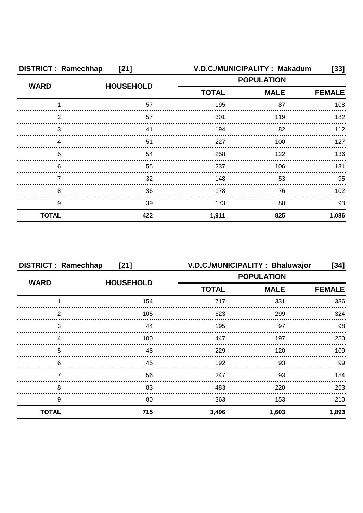| <b>DISTRICT: Ramechhap</b><br>$[21]$ |                  |                   | V.D.C./MUNICIPALITY: Makadum | [33]          |
|--------------------------------------|------------------|-------------------|------------------------------|---------------|
| <b>WARD</b>                          | <b>HOUSEHOLD</b> | <b>POPULATION</b> |                              |               |
|                                      |                  | <b>TOTAL</b>      | <b>MALE</b>                  | <b>FEMALE</b> |
|                                      | 57               | 195               | 87                           | 108           |
| 2                                    | 57               | 301               | 119                          | 182           |
| 3                                    | 41               | 194               | 82                           | 112           |
|                                      | 51               | 227               | 100                          | 127           |
| 5                                    | 54               | 258               | 122                          | 136           |
| 6                                    | 55               | 237               | 106                          | 131           |
|                                      | 32               | 148               | 53                           | 95            |
| 8                                    | 36               | 178               | 76                           | 102           |
| 9                                    | 39               | 173               | 80                           | 93            |
| <b>TOTAL</b>                         | 422              | 1,911             | 825                          | 1,086         |

| <b>DISTRICT: Ramechhap</b><br>[21] |                  |              | V.D.C./MUNICIPALITY: Bhaluwajor | [34]          |
|------------------------------------|------------------|--------------|---------------------------------|---------------|
| <b>WARD</b>                        | <b>HOUSEHOLD</b> |              | <b>POPULATION</b>               |               |
|                                    |                  | <b>TOTAL</b> | <b>MALE</b>                     | <b>FEMALE</b> |
|                                    | 154              | 717          | 331                             | 386           |
| 2                                  | 105              | 623          | 299                             | 324           |
| 3                                  | 44               | 195          | 97                              | 98            |
|                                    | 100              | 447          | 197                             | 250           |
| 5                                  | 48               | 229          | 120                             | 109           |
| 6                                  | 45               | 192          | 93                              | 99            |
|                                    | 56               | 247          | 93                              | 154           |
| 8                                  | 83               | 483          | 220                             | 263           |
| 9                                  | 80               | 363          | 153                             | 210           |
| <b>TOTAL</b>                       | 715              | 3,496        | 1,603                           | 1,893         |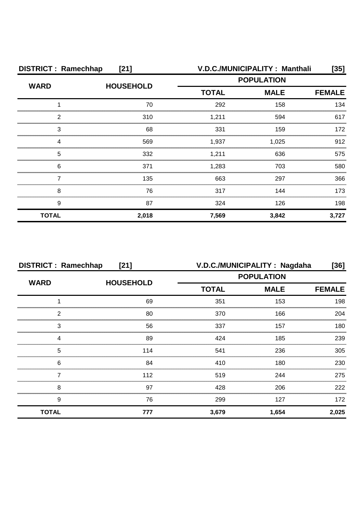| <b>DISTRICT: Ramechhap</b><br>$[21]$ |                  |              | V.D.C./MUNICIPALITY: Manthali | [35]          |
|--------------------------------------|------------------|--------------|-------------------------------|---------------|
| <b>WARD</b>                          | <b>HOUSEHOLD</b> |              | <b>POPULATION</b>             |               |
|                                      |                  | <b>TOTAL</b> | <b>MALE</b>                   | <b>FEMALE</b> |
|                                      | 70               | 292          | 158                           | 134           |
| 2                                    | 310              | 1,211        | 594                           | 617           |
| 3                                    | 68               | 331          | 159                           | 172           |
| Δ                                    | 569              | 1,937        | 1,025                         | 912           |
| 5                                    | 332              | 1,211        | 636                           | 575           |
| 6                                    | 371              | 1,283        | 703                           | 580           |
|                                      | 135              | 663          | 297                           | 366           |
| 8                                    | 76               | 317          | 144                           | 173           |
| 9                                    | 87               | 324          | 126                           | 198           |
| <b>TOTAL</b>                         | 2,018            | 7,569        | 3,842                         | 3,727         |

| <b>DISTRICT: Ramechhap</b><br>$[21]$ |                  |              | V.D.C./MUNICIPALITY: Nagdaha | [36]          |
|--------------------------------------|------------------|--------------|------------------------------|---------------|
| <b>WARD</b>                          | <b>HOUSEHOLD</b> |              | <b>POPULATION</b>            |               |
|                                      |                  | <b>TOTAL</b> | <b>MALE</b>                  | <b>FEMALE</b> |
|                                      | 69               | 351          | 153                          | 198           |
| 2                                    | 80               | 370          | 166                          | 204           |
| 3                                    | 56               | 337          | 157                          | 180           |
|                                      | 89               | 424          | 185                          | 239           |
| 5                                    | 114              | 541          | 236                          | 305           |
| 6                                    | 84               | 410          | 180                          | 230           |
|                                      | 112              | 519          | 244                          | 275           |
| 8                                    | 97               | 428          | 206                          | 222           |
| 9                                    | 76               | 299          | 127                          | 172           |
| <b>TOTAL</b>                         | 777              | 3,679        | 1,654                        | 2,025         |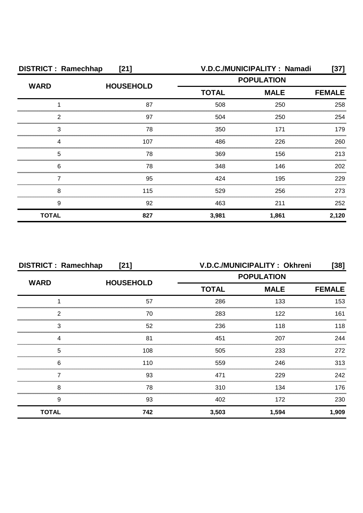| <b>DISTRICT: Ramechhap</b><br>$[21]$ |                  |              | V.D.C./MUNICIPALITY: Namadi | [37]          |
|--------------------------------------|------------------|--------------|-----------------------------|---------------|
| <b>WARD</b>                          | <b>HOUSEHOLD</b> |              | <b>POPULATION</b>           |               |
|                                      |                  | <b>TOTAL</b> | <b>MALE</b>                 | <b>FEMALE</b> |
|                                      | 87               | 508          | 250                         | 258           |
| 2                                    | 97               | 504          | 250                         | 254           |
| З                                    | 78               | 350          | 171                         | 179           |
| Δ                                    | 107              | 486          | 226                         | 260           |
| 5                                    | 78               | 369          | 156                         | 213           |
| 6                                    | 78               | 348          | 146                         | 202           |
|                                      | 95               | 424          | 195                         | 229           |
| 8                                    | 115              | 529          | 256                         | 273           |
| 9                                    | 92               | 463          | 211                         | 252           |
| <b>TOTAL</b>                         | 827              | 3,981        | 1,861                       | 2,120         |

| <b>DISTRICT: Ramechhap</b><br>$[21]$ |                  |                   | V.D.C./MUNICIPALITY: Okhreni | $[38]$        |
|--------------------------------------|------------------|-------------------|------------------------------|---------------|
| <b>WARD</b>                          |                  | <b>POPULATION</b> |                              |               |
|                                      | <b>HOUSEHOLD</b> | <b>TOTAL</b>      | <b>MALE</b>                  | <b>FEMALE</b> |
|                                      | 57               | 286               | 133                          | 153           |
| っ                                    | 70               | 283               | 122                          | 161           |
| 3                                    | 52               | 236               | 118                          | 118           |
|                                      | 81               | 451               | 207                          | 244           |
| 5                                    | 108              | 505               | 233                          | 272           |
| 6                                    | 110              | 559               | 246                          | 313           |
|                                      | 93               | 471               | 229                          | 242           |
| 8                                    | 78               | 310               | 134                          | 176           |
| 9                                    | 93               | 402               | 172                          | 230           |
| <b>TOTAL</b>                         | 742              | 3,503             | 1,594                        | 1,909         |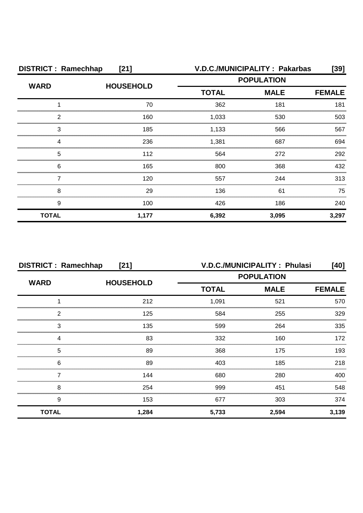| <b>DISTRICT: Ramechhap</b><br>$[21]$ |                  |                   | V.D.C./MUNICIPALITY: Pakarbas | [39]          |
|--------------------------------------|------------------|-------------------|-------------------------------|---------------|
| <b>WARD</b>                          | <b>HOUSEHOLD</b> | <b>POPULATION</b> |                               |               |
|                                      |                  | <b>TOTAL</b>      | <b>MALE</b>                   | <b>FEMALE</b> |
|                                      | 70               | 362               | 181                           | 181           |
| 2                                    | 160              | 1,033             | 530                           | 503           |
| 3                                    | 185              | 1,133             | 566                           | 567           |
| Δ                                    | 236              | 1,381             | 687                           | 694           |
| 5                                    | 112              | 564               | 272                           | 292           |
| 6                                    | 165              | 800               | 368                           | 432           |
|                                      | 120              | 557               | 244                           | 313           |
| 8                                    | 29               | 136               | 61                            | 75            |
| 9                                    | 100              | 426               | 186                           | 240           |
| <b>TOTAL</b>                         | 1,177            | 6,392             | 3,095                         | 3,297         |

| <b>DISTRICT: Ramechhap</b><br>$[21]$ |                  |                   | V.D.C./MUNICIPALITY: Phulasi | [40]          |
|--------------------------------------|------------------|-------------------|------------------------------|---------------|
| <b>WARD</b>                          | <b>HOUSEHOLD</b> | <b>POPULATION</b> |                              |               |
|                                      |                  | <b>TOTAL</b>      | <b>MALE</b>                  | <b>FEMALE</b> |
|                                      | 212              | 1,091             | 521                          | 570           |
| 2                                    | 125              | 584               | 255                          | 329           |
| 3                                    | 135              | 599               | 264                          | 335           |
|                                      | 83               | 332               | 160                          | 172           |
| 5                                    | 89               | 368               | 175                          | 193           |
| 6                                    | 89               | 403               | 185                          | 218           |
|                                      | 144              | 680               | 280                          | 400           |
| 8                                    | 254              | 999               | 451                          | 548           |
| 9                                    | 153              | 677               | 303                          | 374           |
| <b>TOTAL</b>                         | 1,284            | 5,733             | 2,594                        | 3,139         |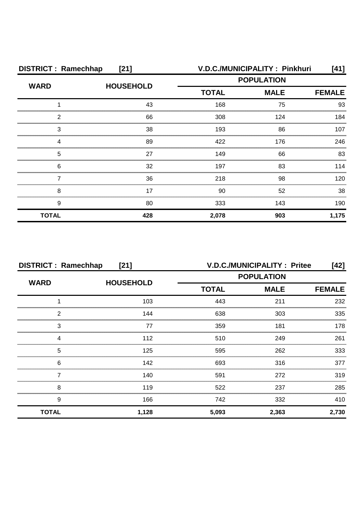| <b>DISTRICT: Ramechhap</b><br>$[21]$ |                  |                   | V.D.C./MUNICIPALITY: Pinkhuri | [41]          |
|--------------------------------------|------------------|-------------------|-------------------------------|---------------|
| <b>WARD</b>                          | <b>HOUSEHOLD</b> | <b>POPULATION</b> |                               |               |
|                                      |                  | <b>TOTAL</b>      | <b>MALE</b>                   | <b>FEMALE</b> |
|                                      | 43               | 168               | 75                            | 93            |
| ◠                                    | 66               | 308               | 124                           | 184           |
| З                                    | 38               | 193               | 86                            | 107           |
|                                      | 89               | 422               | 176                           | 246           |
| 5                                    | 27               | 149               | 66                            | 83            |
| 6                                    | 32               | 197               | 83                            | 114           |
|                                      | 36               | 218               | 98                            | 120           |
| 8                                    | 17               | 90                | 52                            | 38            |
| 9                                    | 80               | 333               | 143                           | 190           |
| <b>TOTAL</b>                         | 428              | 2,078             | 903                           | 1,175         |

| <b>DISTRICT: Ramechhap</b><br>$[21]$ |                  |                             | <b>V.D.C./MUNICIPALITY: Pritee</b> | [42]          |
|--------------------------------------|------------------|-----------------------------|------------------------------------|---------------|
| <b>WARD</b>                          | <b>HOUSEHOLD</b> | <b>POPULATION</b>           |                                    |               |
|                                      |                  | <b>TOTAL</b><br><b>MALE</b> |                                    | <b>FEMALE</b> |
|                                      | 103              | 443                         | 211                                | 232           |
| っ                                    | 144              | 638                         | 303                                | 335           |
| 3                                    | 77               | 359                         | 181                                | 178           |
|                                      | 112              | 510                         | 249                                | 261           |
| 5                                    | 125              | 595                         | 262                                | 333           |
| 6                                    | 142              | 693                         | 316                                | 377           |
|                                      | 140              | 591                         | 272                                | 319           |
| 8                                    | 119              | 522                         | 237                                | 285           |
| 9                                    | 166              | 742                         | 332                                | 410           |
| <b>TOTAL</b>                         | 1,128            | 5,093                       | 2,363                              | 2,730         |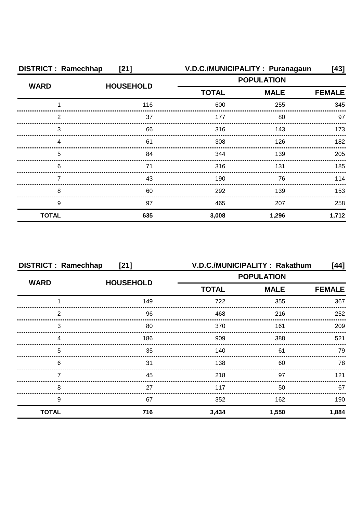| <b>DISTRICT: Ramechhap</b><br>$[21]$ |                  |                   | V.D.C./MUNICIPALITY: Puranagaun | [43]          |
|--------------------------------------|------------------|-------------------|---------------------------------|---------------|
| <b>WARD</b>                          | <b>HOUSEHOLD</b> | <b>POPULATION</b> |                                 |               |
|                                      |                  | <b>TOTAL</b>      | <b>MALE</b>                     | <b>FEMALE</b> |
|                                      | 116              | 600               | 255                             | 345           |
| 2                                    | 37               | 177               | 80                              | 97            |
| 3                                    | 66               | 316               | 143                             | 173           |
| Δ                                    | 61               | 308               | 126                             | 182           |
| 5                                    | 84               | 344               | 139                             | 205           |
| 6                                    | 71               | 316               | 131                             | 185           |
|                                      | 43               | 190               | 76                              | 114           |
| 8                                    | 60               | 292               | 139                             | 153           |
| 9                                    | 97               | 465               | 207                             | 258           |
| <b>TOTAL</b>                         | 635              | 3,008             | 1,296                           | 1,712         |

| <b>DISTRICT: Ramechhap</b><br>[21] |     |              | V.D.C./MUNICIPALITY: Rakathum | [44]          |
|------------------------------------|-----|--------------|-------------------------------|---------------|
| <b>WARD</b><br><b>HOUSEHOLD</b>    |     |              | <b>POPULATION</b>             |               |
|                                    |     | <b>TOTAL</b> | <b>MALE</b>                   | <b>FEMALE</b> |
|                                    | 149 | 722          | 355                           | 367           |
| っ                                  | 96  | 468          | 216                           | 252           |
| 3                                  | 80  | 370          | 161                           | 209           |
|                                    | 186 | 909          | 388                           | 521           |
| 5                                  | 35  | 140          | 61                            | 79            |
| 6                                  | 31  | 138          | 60                            | 78            |
|                                    | 45  | 218          | 97                            | 121           |
| 8                                  | 27  | 117          | 50                            | 67            |
| 9                                  | 67  | 352          | 162                           | 190           |
| <b>TOTAL</b>                       | 716 | 3,434        | 1,550                         | 1,884         |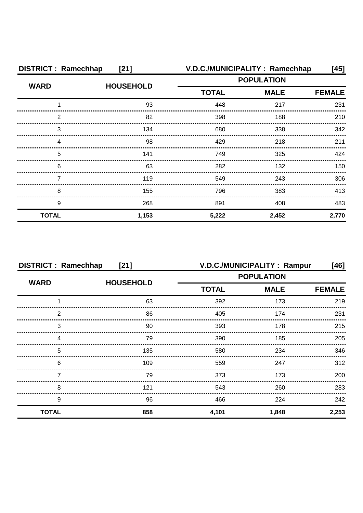| <b>DISTRICT: Ramechhap</b><br>[21] |                  | V.D.C./MUNICIPALITY: Ramechhap |             | [45]          |
|------------------------------------|------------------|--------------------------------|-------------|---------------|
| <b>WARD</b>                        | <b>HOUSEHOLD</b> | <b>POPULATION</b>              |             |               |
|                                    |                  | <b>TOTAL</b>                   | <b>MALE</b> | <b>FEMALE</b> |
|                                    | 93               | 448                            | 217         | 231           |
| 2                                  | 82               | 398                            | 188         | 210           |
| 3                                  | 134              | 680                            | 338         | 342           |
| Δ                                  | 98               | 429                            | 218         | 211           |
| 5                                  | 141              | 749                            | 325         | 424           |
| 6                                  | 63               | 282                            | 132         | 150           |
|                                    | 119              | 549                            | 243         | 306           |
| 8                                  | 155              | 796                            | 383         | 413           |
| 9                                  | 268              | 891                            | 408         | 483           |
| <b>TOTAL</b>                       | 1,153            | 5,222                          | 2,452       | 2,770         |

| <b>DISTRICT: Ramechhap</b><br>[21] |                  |              | V.D.C./MUNICIPALITY : Rampur | [46]          |
|------------------------------------|------------------|--------------|------------------------------|---------------|
| <b>WARD</b>                        | <b>HOUSEHOLD</b> |              | <b>POPULATION</b>            |               |
|                                    |                  | <b>TOTAL</b> | <b>MALE</b>                  | <b>FEMALE</b> |
|                                    | 63               | 392          | 173                          | 219           |
| っ                                  | 86               | 405          | 174                          | 231           |
| 3                                  | 90               | 393          | 178                          | 215           |
|                                    | 79               | 390          | 185                          | 205           |
| 5                                  | 135              | 580          | 234                          | 346           |
| 6                                  | 109              | 559          | 247                          | 312           |
|                                    | 79               | 373          | 173                          | 200           |
| 8                                  | 121              | 543          | 260                          | 283           |
| 9                                  | 96               | 466          | 224                          | 242           |
| <b>TOTAL</b>                       | 858              | 4,101        | 1,848                        | 2,253         |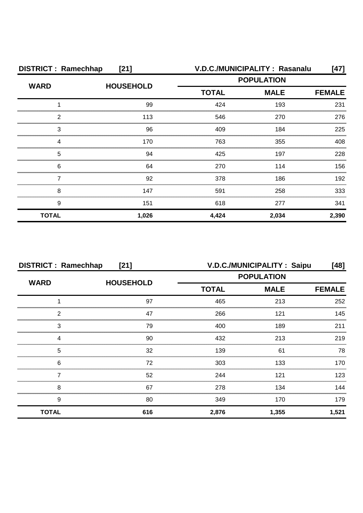| <b>DISTRICT: Ramechhap</b><br>$[21]$ |                  |                   | V.D.C./MUNICIPALITY: Rasanalu | $[47]$        |
|--------------------------------------|------------------|-------------------|-------------------------------|---------------|
| <b>WARD</b>                          | <b>HOUSEHOLD</b> | <b>POPULATION</b> |                               |               |
|                                      |                  | <b>TOTAL</b>      | <b>MALE</b>                   | <b>FEMALE</b> |
|                                      | 99               | 424               | 193                           | 231           |
| 2                                    | 113              | 546               | 270                           | 276           |
| 3                                    | 96               | 409               | 184                           | 225           |
|                                      | 170              | 763               | 355                           | 408           |
| 5                                    | 94               | 425               | 197                           | 228           |
| 6                                    | 64               | 270               | 114                           | 156           |
|                                      | 92               | 378               | 186                           | 192           |
| 8                                    | 147              | 591               | 258                           | 333           |
| 9                                    | 151              | 618               | 277                           | 341           |
| <b>TOTAL</b>                         | 1,026            | 4,424             | 2,034                         | 2,390         |

| <b>DISTRICT: Ramechhap</b><br>$[21]$ |                  |                             | V.D.C./MUNICIPALITY: Saipu | [48]  |
|--------------------------------------|------------------|-----------------------------|----------------------------|-------|
| <b>WARD</b>                          |                  |                             | <b>POPULATION</b>          |       |
|                                      | <b>HOUSEHOLD</b> | <b>TOTAL</b><br><b>MALE</b> | <b>FEMALE</b>              |       |
|                                      | 97               | 465                         | 213                        | 252   |
| 2                                    | 47               | 266                         | 121                        | 145   |
| 3                                    | 79               | 400                         | 189                        | 211   |
|                                      | 90               | 432                         | 213                        | 219   |
| 5                                    | 32               | 139                         | 61                         | 78    |
| 6                                    | 72               | 303                         | 133                        | 170   |
|                                      | 52               | 244                         | 121                        | 123   |
| 8                                    | 67               | 278                         | 134                        | 144   |
| 9                                    | 80               | 349                         | 170                        | 179   |
| <b>TOTAL</b>                         | 616              | 2,876                       | 1,355                      | 1,521 |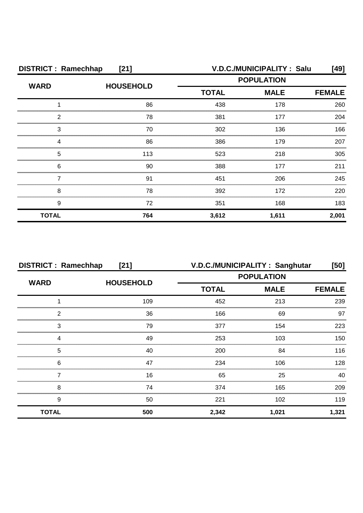| <b>DISTRICT: Ramechhap</b><br>$[21]$ |                  | V.D.C./MUNICIPALITY: Salu<br>[49] |             |               |
|--------------------------------------|------------------|-----------------------------------|-------------|---------------|
|                                      | <b>HOUSEHOLD</b> | <b>POPULATION</b>                 |             |               |
| <b>WARD</b>                          |                  | <b>TOTAL</b>                      | <b>MALE</b> | <b>FEMALE</b> |
|                                      | 86               | 438                               | 178         | 260           |
| 2                                    | 78               | 381                               | 177         | 204           |
| З                                    | 70               | 302                               | 136         | 166           |
| 4                                    | 86               | 386                               | 179         | 207           |
| 5                                    | 113              | 523                               | 218         | 305           |
| 6                                    | 90               | 388                               | 177         | 211           |
|                                      | .91              | 451                               | 206         | 245           |
| 8                                    | 78               | 392                               | 172         | 220           |
| 9                                    | 72               | 351                               | 168         | 183           |
| <b>TOTAL</b>                         | 764              | 3,612                             | 1,611       | 2,001         |

| <b>DISTRICT: Ramechhap</b><br>$[21]$ |                  | V.D.C./MUNICIPALITY: Sanghutar<br>[50] |             |               |
|--------------------------------------|------------------|----------------------------------------|-------------|---------------|
|                                      | <b>HOUSEHOLD</b> | <b>POPULATION</b>                      |             |               |
| <b>WARD</b>                          |                  | <b>TOTAL</b>                           | <b>MALE</b> | <b>FEMALE</b> |
|                                      | 109              | 452                                    | 213         | 239           |
| 2                                    | 36               | 166                                    | 69          | 97            |
| 3                                    | 79               | 377                                    | 154         | 223           |
|                                      | 49               | 253                                    | 103         | 150           |
| 5                                    | 40               | 200                                    | 84          | 116           |
| 6                                    | 47               | 234                                    | 106         | 128           |
|                                      | 16               | 65                                     | 25          | 40            |
| 8                                    | 74               | 374                                    | 165         | 209           |
| 9                                    | 50               | 221                                    | 102         | 119           |
| <b>TOTAL</b>                         | 500              | 2,342                                  | 1,021       | 1,321         |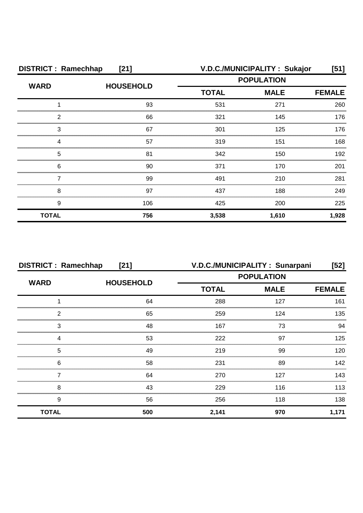| <b>DISTRICT: Ramechhap</b><br>$[21]$ |                  | V.D.C./MUNICIPALITY: Sukajor<br>[51] |             |               |
|--------------------------------------|------------------|--------------------------------------|-------------|---------------|
|                                      |                  | <b>POPULATION</b>                    |             |               |
| <b>WARD</b>                          | <b>HOUSEHOLD</b> | <b>TOTAL</b>                         | <b>MALE</b> | <b>FEMALE</b> |
|                                      | 93               | 531                                  | 271         | 260           |
| 2                                    | 66               | 321                                  | 145         | 176           |
| З                                    | 67               | 301                                  | 125         | 176           |
| Δ                                    | 57               | 319                                  | 151         | 168           |
| 5                                    | 81               | 342                                  | 150         | 192           |
| 6                                    | 90               | 371                                  | 170         | 201           |
|                                      | 99               | 491                                  | 210         | 281           |
| 8                                    | 97               | 437                                  | 188         | 249           |
| 9                                    | 106              | 425                                  | 200         | 225           |
| <b>TOTAL</b>                         | 756              | 3,538                                | 1,610       | 1,928         |

| <b>DISTRICT: Ramechhap</b><br>$[21]$ |                  | V.D.C./MUNICIPALITY: Sunarpani<br>$[52]$ |             |               |
|--------------------------------------|------------------|------------------------------------------|-------------|---------------|
|                                      | <b>HOUSEHOLD</b> | <b>POPULATION</b>                        |             |               |
| <b>WARD</b>                          |                  | <b>TOTAL</b>                             | <b>MALE</b> | <b>FEMALE</b> |
|                                      | 64               | 288                                      | 127         | 161           |
| 2                                    | 65               | 259                                      | 124         | 135           |
| 3                                    | 48               | 167                                      | 73          | 94            |
|                                      | 53               | 222                                      | 97          | 125           |
| 5                                    | 49               | 219                                      | 99          | 120           |
| 6                                    | 58               | 231                                      | 89          | 142           |
|                                      | 64               | 270                                      | 127         | 143           |
| 8                                    | 43               | 229                                      | 116         | 113           |
| 9                                    | 56               | 256                                      | 118         | 138           |
| <b>TOTAL</b>                         | 500              | 2,141                                    | 970         | 1,171         |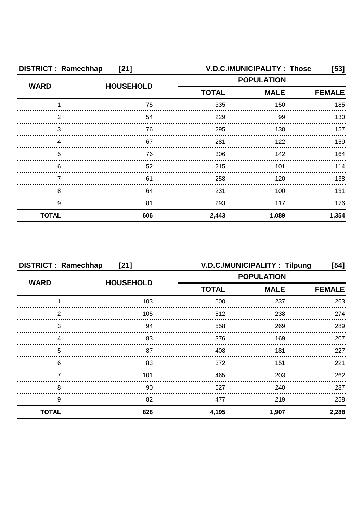| <b>DISTRICT: Ramechhap</b><br>$[21]$        |                  | <b>V.D.C./MUNICIPALITY: Those</b><br>[53] |             |               |
|---------------------------------------------|------------------|-------------------------------------------|-------------|---------------|
|                                             | <b>HOUSEHOLD</b> | <b>POPULATION</b>                         |             |               |
| <b>WARD</b>                                 |                  | <b>TOTAL</b>                              | <b>MALE</b> | <b>FEMALE</b> |
|                                             | 75               | 335                                       | 150         | 185           |
| 2                                           | 54               | 229                                       | 99          | 130           |
| 3                                           | 76               | 295                                       | 138         | 157           |
| Δ                                           | 67               | 281                                       | 122         | 159           |
| 5                                           | 76               | 306                                       | 142         | 164           |
| 6<br>,,,,,,,,,,,,,,,,,,,,,,,,,,,,,,,,,,,,,, | 52               | 215                                       | 101         | 114           |
|                                             | 61               | 258                                       | 120         | 138           |
| 8                                           | 64               | 231                                       | 100         | 131           |
| 9                                           | 81               | 293                                       | 117         | 176           |
| <b>TOTAL</b>                                | 606              | 2,443                                     | 1,089       | 1,354         |

| <b>DISTRICT: Ramechhap</b><br>$[21]$ |                  | V.D.C./MUNICIPALITY: Tilpung<br>[54] |             |               |
|--------------------------------------|------------------|--------------------------------------|-------------|---------------|
|                                      | <b>HOUSEHOLD</b> | <b>POPULATION</b>                    |             |               |
| <b>WARD</b>                          |                  | <b>TOTAL</b>                         | <b>MALE</b> | <b>FEMALE</b> |
|                                      | 103              | 500                                  | 237         | 263           |
| っ                                    | 105              | 512                                  | 238         | 274           |
| 3                                    | 94               | 558                                  | 269         | 289           |
|                                      | 83               | 376                                  | 169         | 207           |
| 5                                    | 87               | 408                                  | 181         | 227           |
| 6                                    | 83               | 372                                  | 151         | 221           |
|                                      | 101              | 465                                  | 203         | 262           |
| 8                                    | 90               | 527                                  | 240         | 287           |
| 9                                    | 82               | 477                                  | 219         | 258           |
| <b>TOTAL</b>                         | 828              | 4,195                                | 1,907       | 2,288         |